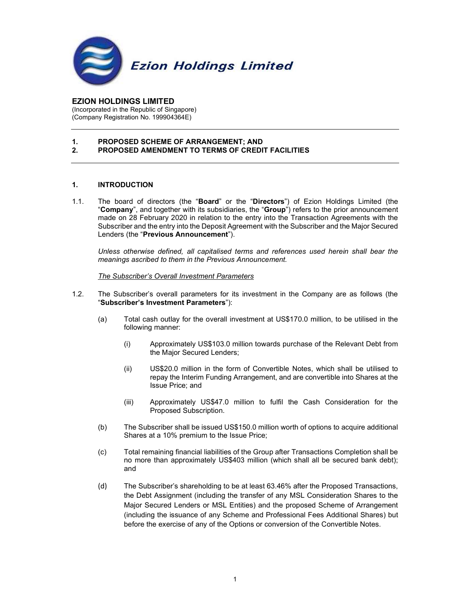

EZION HOLDINGS LIMITED (Incorporated in the Republic of Singapore) (Company Registration No. 199904364E)

#### 1. PROPOSED SCHEME OF ARRANGEMENT; AND 2. PROPOSED AMENDMENT TO TERMS OF CREDIT FACILITIES

## 1. INTRODUCTION

1.1. The board of directors (the "Board" or the "Directors") of Ezion Holdings Limited (the "Company", and together with its subsidiaries, the "Group") refers to the prior announcement made on 28 February 2020 in relation to the entry into the Transaction Agreements with the Subscriber and the entry into the Deposit Agreement with the Subscriber and the Major Secured Lenders (the "Previous Announcement").

 Unless otherwise defined, all capitalised terms and references used herein shall bear the meanings ascribed to them in the Previous Announcement.

### The Subscriber's Overall Investment Parameters

- 1.2. The Subscriber's overall parameters for its investment in the Company are as follows (the "Subscriber's Investment Parameters"):
	- (a) Total cash outlay for the overall investment at US\$170.0 million, to be utilised in the following manner:
		- (i) Approximately US\$103.0 million towards purchase of the Relevant Debt from the Major Secured Lenders;
		- (ii) US\$20.0 million in the form of Convertible Notes, which shall be utilised to repay the Interim Funding Arrangement, and are convertible into Shares at the Issue Price; and
		- (iii) Approximately US\$47.0 million to fulfil the Cash Consideration for the Proposed Subscription.
	- (b) The Subscriber shall be issued US\$150.0 million worth of options to acquire additional Shares at a 10% premium to the Issue Price;
	- (c) Total remaining financial liabilities of the Group after Transactions Completion shall be no more than approximately US\$403 million (which shall all be secured bank debt); and
	- (d) The Subscriber's shareholding to be at least 63.46% after the Proposed Transactions, the Debt Assignment (including the transfer of any MSL Consideration Shares to the Major Secured Lenders or MSL Entities) and the proposed Scheme of Arrangement (including the issuance of any Scheme and Professional Fees Additional Shares) but before the exercise of any of the Options or conversion of the Convertible Notes.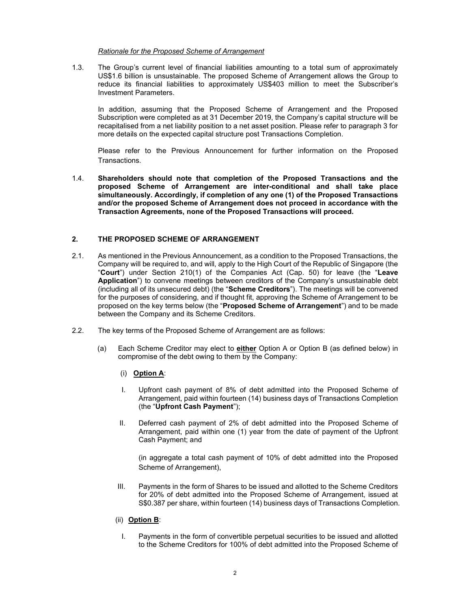### Rationale for the Proposed Scheme of Arrangement

1.3. The Group's current level of financial liabilities amounting to a total sum of approximately US\$1.6 billion is unsustainable. The proposed Scheme of Arrangement allows the Group to reduce its financial liabilities to approximately US\$403 million to meet the Subscriber's Investment Parameters.

In addition, assuming that the Proposed Scheme of Arrangement and the Proposed Subscription were completed as at 31 December 2019, the Company's capital structure will be recapitalised from a net liability position to a net asset position. Please refer to paragraph 3 for more details on the expected capital structure post Transactions Completion.

Please refer to the Previous Announcement for further information on the Proposed Transactions.

1.4. Shareholders should note that completion of the Proposed Transactions and the proposed Scheme of Arrangement are inter-conditional and shall take place simultaneously. Accordingly, if completion of any one (1) of the Proposed Transactions and/or the proposed Scheme of Arrangement does not proceed in accordance with the Transaction Agreements, none of the Proposed Transactions will proceed.

# 2. THE PROPOSED SCHEME OF ARRANGEMENT

- 2.1. As mentioned in the Previous Announcement, as a condition to the Proposed Transactions, the Company will be required to, and will, apply to the High Court of the Republic of Singapore (the "Court") under Section 210(1) of the Companies Act (Cap. 50) for leave (the "Leave Application") to convene meetings between creditors of the Company's unsustainable debt (including all of its unsecured debt) (the "Scheme Creditors"). The meetings will be convened for the purposes of considering, and if thought fit, approving the Scheme of Arrangement to be proposed on the key terms below (the "Proposed Scheme of Arrangement") and to be made between the Company and its Scheme Creditors.
- 2.2. The key terms of the Proposed Scheme of Arrangement are as follows:
	- (a) Each Scheme Creditor may elect to either Option A or Option B (as defined below) in compromise of the debt owing to them by the Company:
		- (i) Option A:
		- I. Upfront cash payment of 8% of debt admitted into the Proposed Scheme of Arrangement, paid within fourteen (14) business days of Transactions Completion (the "Upfront Cash Payment");
		- II. Deferred cash payment of 2% of debt admitted into the Proposed Scheme of Arrangement, paid within one (1) year from the date of payment of the Upfront Cash Payment; and

(in aggregate a total cash payment of 10% of debt admitted into the Proposed Scheme of Arrangement),

- III. Payments in the form of Shares to be issued and allotted to the Scheme Creditors for 20% of debt admitted into the Proposed Scheme of Arrangement, issued at S\$0.387 per share, within fourteen (14) business days of Transactions Completion.
- (ii) Option B:
	- I. Payments in the form of convertible perpetual securities to be issued and allotted to the Scheme Creditors for 100% of debt admitted into the Proposed Scheme of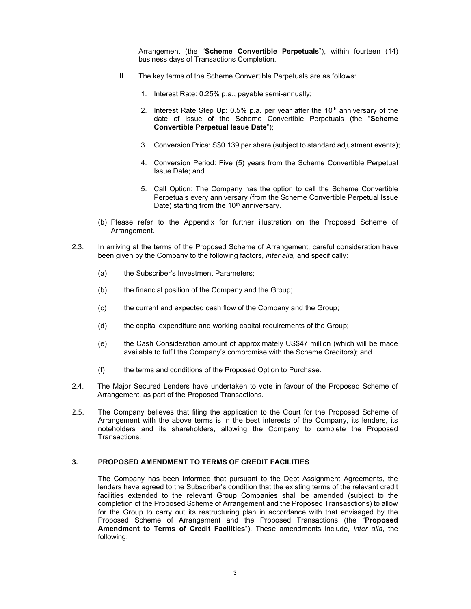Arrangement (the "Scheme Convertible Perpetuals"), within fourteen (14) business days of Transactions Completion.

- II. The key terms of the Scheme Convertible Perpetuals are as follows:
	- 1. Interest Rate: 0.25% p.a., payable semi-annually;
	- 2. Interest Rate Step Up:  $0.5\%$  p.a. per year after the 10<sup>th</sup> anniversary of the date of issue of the Scheme Convertible Perpetuals (the "Scheme Convertible Perpetual Issue Date");
	- 3. Conversion Price: S\$0.139 per share (subject to standard adjustment events);
	- 4. Conversion Period: Five (5) years from the Scheme Convertible Perpetual Issue Date; and
	- 5. Call Option: The Company has the option to call the Scheme Convertible Perpetuals every anniversary (from the Scheme Convertible Perpetual Issue Date) starting from the 10<sup>th</sup> anniversary.
- (b) Please refer to the Appendix for further illustration on the Proposed Scheme of Arrangement.
- 2.3. In arriving at the terms of the Proposed Scheme of Arrangement, careful consideration have been given by the Company to the following factors, *inter alia*, and specifically:
	- (a) the Subscriber's Investment Parameters;
	- (b) the financial position of the Company and the Group;
	- (c) the current and expected cash flow of the Company and the Group;
	- (d) the capital expenditure and working capital requirements of the Group;
	- (e) the Cash Consideration amount of approximately US\$47 million (which will be made available to fulfil the Company's compromise with the Scheme Creditors); and
	- (f) the terms and conditions of the Proposed Option to Purchase.
- 2.4. The Major Secured Lenders have undertaken to vote in favour of the Proposed Scheme of Arrangement, as part of the Proposed Transactions.
- 2.5. The Company believes that filing the application to the Court for the Proposed Scheme of Arrangement with the above terms is in the best interests of the Company, its lenders, its noteholders and its shareholders, allowing the Company to complete the Proposed Transactions.

## 3. PROPOSED AMENDMENT TO TERMS OF CREDIT FACILITIES

The Company has been informed that pursuant to the Debt Assignment Agreements, the lenders have agreed to the Subscriber's condition that the existing terms of the relevant credit facilities extended to the relevant Group Companies shall be amended (subject to the completion of the Proposed Scheme of Arrangement and the Proposed Transasctions) to allow for the Group to carry out its restructuring plan in accordance with that envisaged by the Proposed Scheme of Arrangement and the Proposed Transactions (the "Proposed Amendment to Terms of Credit Facilities"). These amendments include, inter alia, the following: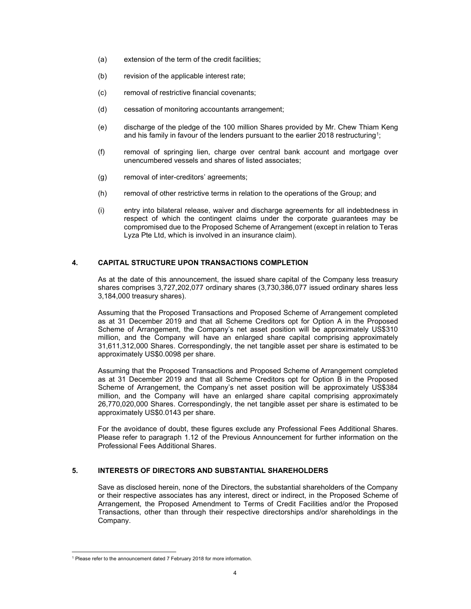- (a) extension of the term of the credit facilities;
- (b) revision of the applicable interest rate;
- (c) removal of restrictive financial covenants;
- (d) cessation of monitoring accountants arrangement;
- (e) discharge of the pledge of the 100 million Shares provided by Mr. Chew Thiam Keng and his family in favour of the lenders pursuant to the earlier 2018 restructuring<sup>1</sup>;
- (f) removal of springing lien, charge over central bank account and mortgage over unencumbered vessels and shares of listed associates;
- (g) removal of inter-creditors' agreements;
- (h) removal of other restrictive terms in relation to the operations of the Group; and
- (i) entry into bilateral release, waiver and discharge agreements for all indebtedness in respect of which the contingent claims under the corporate guarantees may be compromised due to the Proposed Scheme of Arrangement (except in relation to Teras Lyza Pte Ltd, which is involved in an insurance claim).

## 4. CAPITAL STRUCTURE UPON TRANSACTIONS COMPLETION

As at the date of this announcement, the issued share capital of the Company less treasury shares comprises 3,727,202,077 ordinary shares (3,730,386,077 issued ordinary shares less 3,184,000 treasury shares).

Assuming that the Proposed Transactions and Proposed Scheme of Arrangement completed as at 31 December 2019 and that all Scheme Creditors opt for Option A in the Proposed Scheme of Arrangement, the Company's net asset position will be approximately US\$310 million, and the Company will have an enlarged share capital comprising approximately 31,611,312,000 Shares. Correspondingly, the net tangible asset per share is estimated to be approximately US\$0.0098 per share.

Assuming that the Proposed Transactions and Proposed Scheme of Arrangement completed as at 31 December 2019 and that all Scheme Creditors opt for Option B in the Proposed Scheme of Arrangement, the Company's net asset position will be approximately US\$384 million, and the Company will have an enlarged share capital comprising approximately 26,770,020,000 Shares. Correspondingly, the net tangible asset per share is estimated to be approximately US\$0.0143 per share.

For the avoidance of doubt, these figures exclude any Professional Fees Additional Shares. Please refer to paragraph 1.12 of the Previous Announcement for further information on the Professional Fees Additional Shares.

### 5. INTERESTS OF DIRECTORS AND SUBSTANTIAL SHAREHOLDERS

Save as disclosed herein, none of the Directors, the substantial shareholders of the Company or their respective associates has any interest, direct or indirect, in the Proposed Scheme of Arrangement, the Proposed Amendment to Terms of Credit Facilities and/or the Proposed Transactions, other than through their respective directorships and/or shareholdings in the Company.

<sup>&</sup>lt;sup>1</sup> Please refer to the announcement dated 7 February 2018 for more information.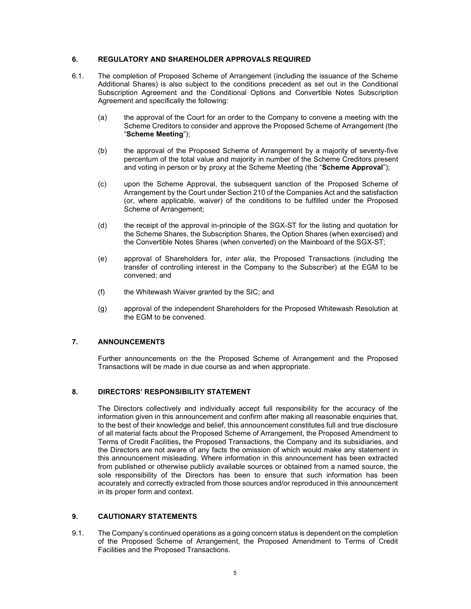### 6. REGULATORY AND SHAREHOLDER APPROVALS REQUIRED

- 6.1. The completion of Proposed Scheme of Arrangement (including the issuance of the Scheme Additional Shares) is also subject to the conditions precedent as set out in the Conditional Subscription Agreement and the Conditional Options and Convertible Notes Subscription Agreement and specifically the following:
	- (a) the approval of the Court for an order to the Company to convene a meeting with the Scheme Creditors to consider and approve the Proposed Scheme of Arrangement (the "Scheme Meeting");
	- (b) the approval of the Proposed Scheme of Arrangement by a majority of seventy-five percentum of the total value and majority in number of the Scheme Creditors present and voting in person or by proxy at the Scheme Meeting (the "Scheme Approval");
	- (c) upon the Scheme Approval, the subsequent sanction of the Proposed Scheme of Arrangement by the Court under Section 210 of the Companies Act and the satisfaction (or, where applicable, waiver) of the conditions to be fulfilled under the Proposed Scheme of Arrangement:
	- (d) the receipt of the approval in-principle of the SGX-ST for the listing and quotation for the Scheme Shares, the Subscription Shares, the Option Shares (when exercised) and the Convertible Notes Shares (when converted) on the Mainboard of the SGX-ST;
	- (e) approval of Shareholders for, inter alia, the Proposed Transactions (including the transfer of controlling interest in the Company to the Subscriber) at the EGM to be convened; and
	- (f) the Whitewash Waiver granted by the SIC; and
	- (g) approval of the independent Shareholders for the Proposed Whitewash Resolution at the EGM to be convened.

## 7. ANNOUNCEMENTS

Further announcements on the the Proposed Scheme of Arrangement and the Proposed Transactions will be made in due course as and when appropriate.

### 8. DIRECTORS' RESPONSIBILITY STATEMENT

The Directors collectively and individually accept full responsibility for the accuracy of the information given in this announcement and confirm after making all reasonable enquiries that, to the best of their knowledge and belief, this announcement constitutes full and true disclosure of all material facts about the Proposed Scheme of Arrangement, the Proposed Amendment to Terms of Credit Facilities, the Proposed Transactions, the Company and its subsidiaries, and the Directors are not aware of any facts the omission of which would make any statement in this announcement misleading. Where information in this announcement has been extracted from published or otherwise publicly available sources or obtained from a named source, the sole responsibility of the Directors has been to ensure that such information has been accurately and correctly extracted from those sources and/or reproduced in this announcement in its proper form and context.

### 9. CAUTIONARY STATEMENTS

9.1. The Company's continued operations as a going concern status is dependent on the completion of the Proposed Scheme of Arrangement, the Proposed Amendment to Terms of Credit Facilities and the Proposed Transactions.